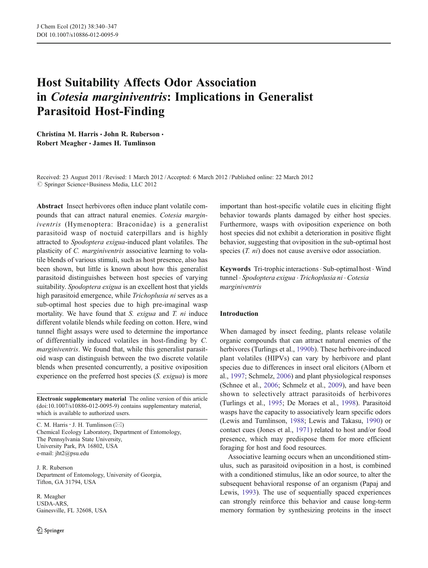# Host Suitability Affects Odor Association in Cotesia marginiventris: Implications in Generalist Parasitoid Host-Finding

Christina M. Harris · John R. Ruberson · Robert Meagher & James H. Tumlinson

Received: 23 August 2011 /Revised: 1 March 2012 /Accepted: 6 March 2012 / Published online: 22 March 2012  $\oslash$  Springer Science+Business Media, LLC 2012

Abstract Insect herbivores often induce plant volatile compounds that can attract natural enemies. Cotesia marginiventris (Hymenoptera: Braconidae) is a generalist parasitoid wasp of noctuid caterpillars and is highly attracted to Spodoptera exigua-induced plant volatiles. The plasticity of C. marginiventris associative learning to volatile blends of various stimuli, such as host presence, also has been shown, but little is known about how this generalist parasitoid distinguishes between host species of varying suitability. Spodoptera exigua is an excellent host that yields high parasitoid emergence, while Trichoplusia ni serves as a sub-optimal host species due to high pre-imaginal wasp mortality. We have found that S. exigua and T. ni induce different volatile blends while feeding on cotton. Here, wind tunnel flight assays were used to determine the importance of differentially induced volatiles in host-finding by C. marginiventris. We found that, while this generalist parasitoid wasp can distinguish between the two discrete volatile blends when presented concurrently, a positive oviposition experience on the preferred host species (S. exigua) is more

Electronic supplementary material The online version of this article (doi:[10.1007/s10886-012-0095-9](http://dx.doi.org/10.1007/s10886-012-0095-9)) contains supplementary material, which is available to authorized users.

C. M. Harris  $\cdot$  J. H. Tumlinson ( $\boxtimes$ ) Chemical Ecology Laboratory, Department of Entomology, The Pennsylvania State University, University Park, PA 16802, USA e-mail: jht2@psu.edu

J. R. Ruberson Department of Entomology, University of Georgia, Tifton, GA 31794, USA

R. Meagher USDA-ARS, Gainesville, FL 32608, USA important than host-specific volatile cues in eliciting flight behavior towards plants damaged by either host species. Furthermore, wasps with oviposition experience on both host species did not exhibit a deterioration in positive flight behavior, suggesting that oviposition in the sub-optimal host species (T. ni) does not cause aversive odor association.

Keywords Tri-trophic interactions. Sub-optimal host . Wind tunnel . Spodoptera exigua . Trichoplusia ni . Cotesia marginiventris

#### Introduction

When damaged by insect feeding, plants release volatile organic compounds that can attract natural enemies of the herbivores (Turlings et al., [1990b\)](#page-7-0). These herbivore-induced plant volatiles (HIPVs) can vary by herbivore and plant species due to differences in insect oral elicitors (Alborn et al., [1997;](#page-6-0) Schmelz, [2006\)](#page-6-0) and plant physiological responses (Schnee et al., [2006](#page-7-0); Schmelz et al., [2009\)](#page-6-0), and have been shown to selectively attract parasitoids of herbivores (Turlings et al., [1995](#page-7-0); De Moraes et al., [1998](#page-6-0)). Parasitoid wasps have the capacity to associatively learn specific odors (Lewis and Tumlinson, [1988;](#page-6-0) Lewis and Takasu, [1990](#page-6-0)) or contact cues (Jones et al., [1971\)](#page-6-0) related to host and/or food presence, which may predispose them for more efficient foraging for host and food resources.

Associative learning occurs when an unconditioned stimulus, such as parasitoid oviposition in a host, is combined with a conditioned stimulus, like an odor source, to alter the subsequent behavioral response of an organism (Papaj and Lewis, [1993\)](#page-6-0). The use of sequentially spaced experiences can strongly reinforce this behavior and cause long-term memory formation by synthesizing proteins in the insect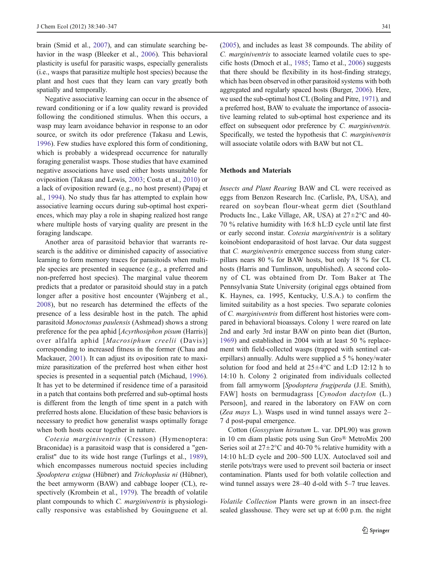brain (Smid et al., [2007\)](#page-7-0), and can stimulate searching behavior in the wasp (Bleeker et al., [2006](#page-6-0)). This behavioral plasticity is useful for parasitic wasps, especially generalists (i.e., wasps that parasitize multiple host species) because the plant and host cues that they learn can vary greatly both spatially and temporally.

Negative associative learning can occur in the absence of reward conditioning or if a low quality reward is provided following the conditioned stimulus. When this occurs, a wasp may learn avoidance behavior in response to an odor source, or switch its odor preference (Takasu and Lewis, [1996\)](#page-7-0). Few studies have explored this form of conditioning, which is probably a widespread occurrence for naturally foraging generalist wasps. Those studies that have examined negative associations have used either hosts unsuitable for oviposition (Takasu and Lewis, [2003](#page-7-0); Costa et al., [2010\)](#page-6-0) or a lack of oviposition reward (e.g., no host present) (Papaj et al., [1994](#page-6-0)). No study thus far has attempted to explain how associative learning occurs during sub-optimal host experiences, which may play a role in shaping realized host range where multiple hosts of varying quality are present in the foraging landscape.

Another area of parasitoid behavior that warrants research is the additive or diminished capacity of associative learning to form memory traces for parasitoids when multiple species are presented in sequence (e.g., a preferred and non-preferred host species). The marginal value theorem predicts that a predator or parasitoid should stay in a patch longer after a positive host encounter (Wajnberg et al., [2008](#page-7-0)), but no research has determined the effects of the presence of a less desirable host in the patch. The aphid parasitoid Monoctonus paulensis (Ashmead) shows a strong preference for the pea aphid [Acyrthosiphon pisum (Harris)] over alfalfa aphid [Macrosiphum creelii (Davis)] corresponding to increased fitness in the former (Chau and Mackauer, [2001\)](#page-6-0). It can adjust its oviposition rate to maximize parasitization of the preferred host when either host species is presented in a sequential patch (Michaud, [1996](#page-6-0)). It has yet to be determined if residence time of a parasitoid in a patch that contains both preferred and sub-optimal hosts is different from the length of time spent in a patch with preferred hosts alone. Elucidation of these basic behaviors is necessary to predict how generalist wasps optimally forage when both hosts occur together in nature.

Cotesia marginiventris (Cresson) (Hymenoptera: Braconidae) is a parasitoid wasp that is considered a "generalist" due to its wide host range (Turlings et al., [1989](#page-7-0)), which encompasses numerous noctuid species including Spodoptera exigua (Hübner) and Trichoplusia ni (Hübner), the beet armyworm (BAW) and cabbage looper (CL), respectively (Krombein et al., [1979](#page-6-0)). The breadth of volatile plant compounds to which C. marginiventris is physiologically responsive was established by Gouinguene et al. [\(2005](#page-6-0)), and includes as least 38 compounds. The ability of C. marginiventris to associate learned volatile cues to specific hosts (Dmoch et al., [1985](#page-6-0); Tamo et al., [2006\)](#page-7-0) suggests that there should be flexibility in its host-finding strategy, which has been observed in other parasitoid systems with both aggregated and regularly spaced hosts (Burger, [2006](#page-6-0)). Here, we used the sub-optimal host CL (Boling and Pitre, [1971\)](#page-6-0), and a preferred host, BAW to evaluate the importance of associative learning related to sub-optimal host experience and its effect on subsequent odor preference by C. marginiventris. Specifically, we tested the hypothesis that C. marginiventris will associate volatile odors with BAW but not CL.

### Methods and Materials

Insects and Plant Rearing BAW and CL were received as eggs from Benzon Research Inc. (Carlisle, PA, USA), and reared on soybean flour-wheat germ diet (Southland Products Inc., Lake Village, AR, USA) at 27±2°C and 40- 70 % relative humidity with 16:8 hL:D cycle until late first or early second instar. Cotesia marginiventris is a solitary koinobiont endoparasitoid of host larvae. Our data suggest that C. marginiventris emergence success from stung caterpillars nears 80 % for BAW hosts, but only 18 % for CL hosts (Harris and Tumlinson, unpublished). A second colony of CL was obtained from Dr. Tom Baker at The Pennsylvania State University (original eggs obtained from K. Haynes, ca. 1995, Kentucky, U.S.A.) to confirm the limited suitability as a host species. Two separate colonies of C. marginiventris from different host histories were compared in behavioral bioassays. Colony 1 were reared on late 2nd and early 3rd instar BAW on pinto bean diet (Burton, [1969](#page-6-0)) and established in 2004 with at least 50 % replacement with field-collected wasps (trapped with sentinel caterpillars) annually. Adults were supplied a 5 % honey/water solution for food and held at 25±4°C and L:D 12:12 h to 14:10 h. Colony 2 originated from individuals collected from fall armyworm [Spodoptera frugiperda (J.E. Smith), FAW] hosts on bermudagrass [Cynodon dactylon (L.) Persoon], and reared in the laboratory on FAW on corn (Zea mays L.). Wasps used in wind tunnel assays were 2– 7 d post-pupal emergence.

Cotton (Gossypium hirsutum L. var. DPL90) was grown in 10 cm diam plastic pots using Sun Gro® MetroMix 200 Series soil at  $27 \pm 2^{\circ}$ C and 40-70 % relative humidity with a 14:10 hL:D cycle and 200–500 LUX. Autoclaved soil and sterile pots/trays were used to prevent soil bacteria or insect contamination. Plants used for both volatile collection and wind tunnel assays were 28–40 d-old with 5–7 true leaves.

Volatile Collection Plants were grown in an insect-free sealed glasshouse. They were set up at 6:00 p.m. the night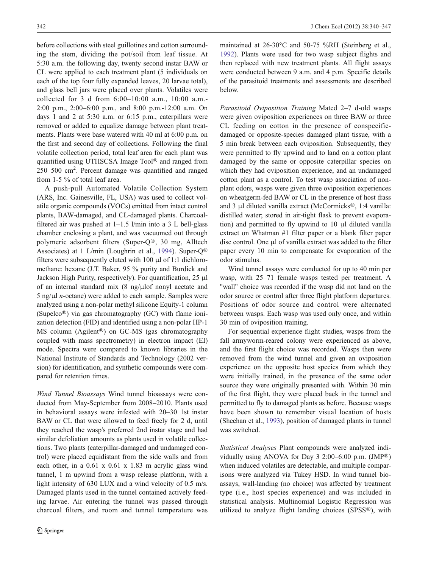before collections with steel guillotines and cotton surrounding the stem, dividing the pot/soil from leaf tissue. At 5:30 a.m. the following day, twenty second instar BAW or CL were applied to each treatment plant (5 individuals on each of the top four fully expanded leaves, 20 larvae total), and glass bell jars were placed over plants. Volatiles were collected for 3 d from 6:00–10:00 a.m., 10:00 a.m.- 2:00 p.m., 2:00–6:00 p.m., and 8:00 p.m.-12:00 a.m. On days 1 and 2 at 5:30 a.m. or 6:15 p.m., caterpillars were removed or added to equalize damage between plant treatments. Plants were base watered with 40 ml at 6:00 p.m. on the first and second day of collections. Following the final volatile collection period, total leaf area for each plant was quantified using UTHSCSA Image Tool® and ranged from 250–500 cm<sup>2</sup>. Percent damage was quantified and ranged from 1-5 % of total leaf area.

A push-pull Automated Volatile Collection System (ARS, Inc. Gainesville, FL, USA) was used to collect volatile organic compounds (VOCs) emitted from intact control plants, BAW-damaged, and CL-damaged plants. Charcoalfiltered air was pushed at  $1-1.5$  l/min into a 3 L bell-glass chamber enclosing a plant, and was vacuumed out through polymeric adsorbent filters (Super-Q®, 30 mg, Alltech Associates) at 1 L/min (Loughrin et al., [1994\)](#page-6-0). Super-Q® filters were subsequently eluted with 100 μl of 1:1 dichloromethane: hexane (J.T. Baker, 95 % purity and Burdick and Jackson High Purity, respectively). For quantification, 25 μl of an internal standard mix (8 ng/μlof nonyl acetate and  $5$  ng/ $\mu$ l *n*-octane) were added to each sample. Samples were analyzed using a non-polar methyl silicone Equity-1 column (Supelco®) via gas chromatography (GC) with flame ionization detection (FID) and identified using a non-polar HP-1 MS column (Agilent®) on GC-MS (gas chromatography coupled with mass spectrometry) in electron impact (EI) mode. Spectra were compared to known libraries in the National Institute of Standards and Technology (2002 version) for identification, and synthetic compounds were compared for retention times.

Wind Tunnel Bioassays Wind tunnel bioassays were conducted from May-September from 2008–2010. Plants used in behavioral assays were infested with 20–30 1st instar BAW or CL that were allowed to feed freely for 2 d, until they reached the wasp's preferred 2nd instar stage and had similar defoliation amounts as plants used in volatile collections. Two plants (caterpillar-damaged and undamaged control) were placed equidistant from the side walls and from each other, in a 0.61 x 0.61 x 1.83 m acrylic glass wind tunnel, 1 m upwind from a wasp release platform, with a light intensity of 630 LUX and a wind velocity of 0.5 m/s. Damaged plants used in the tunnel contained actively feeding larvae. Air entering the tunnel was passed through charcoal filters, and room and tunnel temperature was

maintained at 26-30°C and 50-75 %RH (Steinberg et al., [1992](#page-7-0)). Plants were used for two wasp subject flights and then replaced with new treatment plants. All flight assays were conducted between 9 a.m. and 4 p.m. Specific details of the parasitoid treatments and assessments are described below.

Parasitoid Oviposition Training Mated 2–7 d-old wasps were given oviposition experiences on three BAW or three CL feeding on cotton in the presence of conspecificdamaged or opposite-species damaged plant tissue, with a 5 min break between each oviposition. Subsequently, they were permitted to fly upwind and to land on a cotton plant damaged by the same or opposite caterpillar species on which they had oviposition experience, and an undamaged cotton plant as a control. To test wasp association of nonplant odors, wasps were given three oviposition experiences on wheatgerm-fed BAW or CL in the presence of host frass and 3 μl diluted vanilla extract (McCormicks®, 1:4 vanilla: distilled water; stored in air-tight flask to prevent evaporation) and permitted to fly upwind to 10 μl diluted vanilla extract on Whatman #1 filter paper or a blank filter paper disc control. One μl of vanilla extract was added to the filter paper every 10 min to compensate for evaporation of the odor stimulus.

Wind tunnel assays were conducted for up to 40 min per wasp, with 25–71 female wasps tested per treatment. A "wall" choice was recorded if the wasp did not land on the odor source or control after three flight platform departures. Positions of odor source and control were alternated between wasps. Each wasp was used only once, and within 30 min of oviposition training.

For sequential experience flight studies, wasps from the fall armyworm-reared colony were experienced as above, and the first flight choice was recorded. Wasps then were removed from the wind tunnel and given an oviposition experience on the opposite host species from which they were initially trained, in the presence of the same odor source they were originally presented with. Within 30 min of the first flight, they were placed back in the tunnel and permitted to fly to damaged plants as before. Because wasps have been shown to remember visual location of hosts (Sheehan et al., [1993](#page-7-0)), position of damaged plants in tunnel was switched.

Statistical Analyses Plant compounds were analyzed individually using ANOVA for Day 3 2:00–6:00 p.m. (JMP®) when induced volatiles are detectable, and multiple comparisons were analyzed via Tukey HSD. In wind tunnel bioassays, wall-landing (no choice) was affected by treatment type (i.e., host species experience) and was included in statistical analysis. Multinomial Logistic Regression was utilized to analyze flight landing choices (SPSS®), with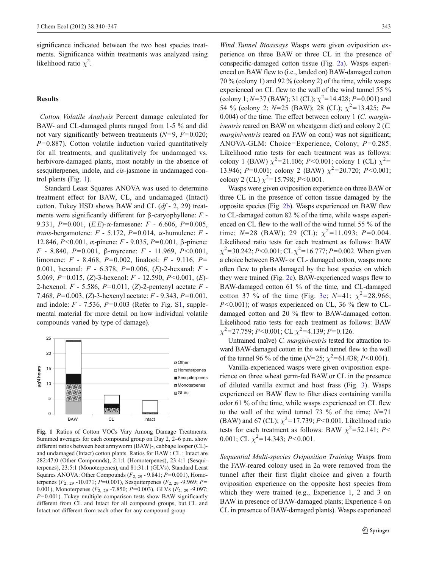significance indicated between the two host species treatments. Significance within treatments was analyzed using likelihood ratio  $\chi^2$ .

### Results

Cotton Volatile Analysis Percent damage calculated for BAW- and CL-damaged plants ranged from 1-5 % and did not vary significantly between treatments ( $N=9$ ,  $F=0.020$ ;  $P=0.887$ ). Cotton volatile induction varied quantitatively for all treatments, and qualitatively for undamaged vs. herbivore-damaged plants, most notably in the absence of sesquiterpenes, indole, and cis-jasmone in undamaged control plants (Fig. 1).

Standard Least Squares ANOVA was used to determine treatment effect for BAW, CL, and undamaged (Intact) cotton. Tukey HSD shows BAW and CL  $(df - 2, 29)$  treatments were significantly different for β-caryophyllene:  $F$  -9.331,  $P=0.001$ ,  $(E,E)$ -α-farnesene:  $F - 6.606$ ,  $P=0.005$ , trans-bergamotene:  $F - 5.172$ ,  $P=0.014$ ,  $\alpha$ -humulene:  $F -$ 12.846, P<0.001, α-pinene: F - 9.035, P=0.001, β-pinene:  $F - 8.840$ ,  $P=0.001$ , β-myrcene:  $F - 11.969$ ,  $P < 0.001$ , limonene:  $F - 8.468$ ,  $P=0.002$ , linalool:  $F - 9.116$ ,  $P=$ 0.001, hexanal:  $F - 6.378$ ,  $P=0.006$ ,  $(E)$ -2-hexanal:  $F -$ 5.069,  $P=0.015$ , (Z)-3-hexenol:  $F - 12.590$ ,  $P<0.001$ , (E)-2-hexenol:  $F - 5.586$ ,  $P=0.011$ , (Z)-2-pentenyl acetate  $F -$ 7.468,  $P=0.003$ , (Z)-3-hexenyl acetate:  $F - 9.343$ ,  $P=0.001$ , and indole:  $F - 7.536$ ,  $P=0.003$  (Refer to Fig. S1, supplemental material for more detail on how individual volatile compounds varied by type of damage).



Fig. 1 Ratios of Cotton VOCs Vary Among Damage Treatments. Summed averages for each compound group on Day 2, 2–6 p.m. show different ratios between beet armyworm (BAW)-, cabbage looper (CL) and undamaged (Intact) cotton plants. Ratios for BAW : CL : Intact are 282:47:0 (Other Compounds), 2:1:1 (Homoterpenes), 23:4:1 (Sesquiterpenes), 23:5:1 (Monoterpenes), and 81:31:1 (GLVs). Standard Least Squares ANOVA: Other Compounds  $(F_{2, 29} - 9.841; P=0.001)$ , Homoterpenes ( $F_{2, 29}$  -10.071; P=0.001), Sesquiterpenes ( $F_{2, 29}$  -9.969; P= 0.001), Monoterpenes ( $F_{2, 29}$  -7.850; P=0.003), GLVs ( $F_{2, 29}$  -9.097;  $P=0.001$ ). Tukey multiple comparison tests show BAW significantly different from CL and Intact for all compound groups, but CL and Intact not different from each other for any compound group

Wind Tunnel Bioassays Wasps were given oviposition experience on three BAW or three CL in the presence of conspecific-damaged cotton tissue (Fig. [2a](#page-4-0)). Wasps experienced on BAW flew to (i.e., landed on) BAW-damaged cotton  $70\%$  (colony 1) and 92 % (colony 2) of the time, while wasps experienced on CL flew to the wall of the wind tunnel 55 % (colony 1;  $N=37$  (BAW); 31 (CL);  $\chi^2=14.428; P=0.001$ ) and 54 % (colony 2;  $N=25$  (BAW); 28 (CL);  $\chi^2=13.425$ ;  $P=$ 0.004) of the time. The effect between colony 1 (C. marginiventris reared on BAW on wheatgerm diet) and colony 2 (C. marginiventris reared on FAW on corn) was not significant; ANOVA-GLM: Choice=Experience, Colony;  $P=0.285$ . Likelihood ratio tests for each treatment was as follows: colony 1 (BAW)  $\chi^2$ =21.106; P<0.001; colony 1 (CL)  $\chi^2$ = 13.946;  $P=0.001$ ; colony 2 (BAW)  $\chi^2=20.720$ ;  $P<0.001$ ; colony 2 (CL)  $\chi^2$ =15.798; P<0.001.

Wasps were given oviposition experience on three BAW or three CL in the presence of cotton tissue damaged by the opposite species (Fig. [2b](#page-4-0)). Wasps experienced on BAW flew to CL-damaged cotton 82 % of the time, while wasps experienced on CL flew to the wall of the wind tunnel 55 % of the time;  $N=28$  (BAW); 29 (CL);  $\chi^2=11.093$ ;  $P=0.004$ . Likelihood ratio tests for each treatment as follows: BAW  $\chi^2$ =30.242; P<0.001; CL  $\chi^2$ =16.777; P=0.002. When given a choice between BAW- or CL- damaged cotton, wasps more often flew to plants damaged by the host species on which they were trained (Fig. [2c](#page-4-0)). BAW-experienced wasps flew to BAW-damaged cotton 61 % of the time, and CL-damaged cotton 37 % of the time (Fig. [3c;](#page-4-0)  $N=41$ ;  $\chi^2 = 28.966$ ;  $P<0.001$ ); of wasps experienced on CL, 36 % flew to CLdamaged cotton and 20 % flew to BAW-damaged cotton. Likelihood ratio tests for each treatment as follows: BAW  $\chi^2$ =27.759; P<0.001; CL  $\chi^2$ =4.139; P=0.126.

Untrained (naïve) C. marginiventris tested for attraction toward BAW-damaged cotton in the wind tunnel flew to the wall of the tunnel 96 % of the time ( $N=25$ ;  $\chi^2=61.438$ ;  $P<0.001$ ).

Vanilla-experienced wasps were given oviposition experience on three wheat germ-fed BAW or CL in the presence of diluted vanilla extract and host frass (Fig. [3\)](#page-4-0). Wasps experienced on BAW flew to filter discs containing vanilla odor 61 % of the time, while wasps experienced on CL flew to the wall of the wind tunnel 73 % of the time;  $N=71$ (BAW) and 67 (CL);  $\chi^2$ =17.739; P<0.001. Likelihood ratio tests for each treatment as follows: BAW  $\chi^2$ =52.141; P< 0.001; CL  $\chi^2$ =14.343; P<0.001.

Sequential Multi-species Oviposition Training Wasps from the FAW-reared colony used in 2a were removed from the tunnel after their first flight choice and given a fourth oviposition experience on the opposite host species from which they were trained (e.g., Experience 1, 2 and 3 on BAW in presence of BAW-damaged plants; Experience 4 on CL in presence of BAW-damaged plants). Wasps experienced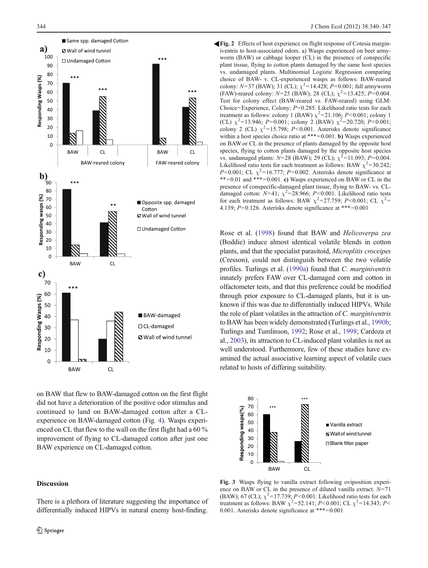<span id="page-4-0"></span>

on BAW that flew to BAW-damaged cotton on the first flight did not have a deterioration of the positive odor stimulus and continued to land on BAW-damaged cotton after a CLexperience on BAW-damaged cotton (Fig. [4](#page-5-0)). Wasps experienced on CL that flew to the wall on the first flight had a 60 % improvement of flying to CL-damaged cotton after just one BAW experience on CL-damaged cotton.

(Cresson), could not distinguish between the two volatile

profiles. Turlings et al. [\(1990a\)](#page-7-0) found that C. marginiventris innately prefers FAW over CL-damaged corn and cotton in olfactometer tests, and that this preference could be modified through prior exposure to CL-damaged plants, but it is unknown if this was due to differentially induced HIPVs. While the role of plant volatiles in the attraction of C. marginiventris to BAW has been widely demonstrated (Turlings et al., [1990b;](#page-7-0) Turlings and Tumlinson, [1992;](#page-7-0) Rose et al., [1998;](#page-6-0) Cardoza et al., [2003\)](#page-6-0), its attraction to CL-induced plant volatiles is not as well understood. Furthermore, few of these studies have examined the actual associative learning aspect of volatile cues related to hosts of differing suitability.

Rose et al. ([1998\)](#page-6-0) found that BAW and Helicoverpa zea (Boddie) induce almost identical volatile blends in cotton plants, and that the specialist parasitoid, Microplitis croceipes



Fig. 2 Effects of host experience on flight response of Cotesia margin-R iventris to host-associated odors. a) Wasps experienced on beet armyworm (BAW) or cabbage looper (CL) in the presence of conspecific plant tissue, flying to cotton plants damaged by the same host species vs. undamaged plants. Multinomial Logistic Regression comparing choice of BAW- v. CL-experienced wasps as follows: BAW-reared colony:  $N=37$  (BAW); 31 (CL);  $\chi^2=14.428$ ;  $P=0.001$ ; fall armyworm (FAW)-reared colony:  $N=25$  (BAW); 28 (CL);  $\chi^2=13.425$ ;  $P=0.004$ . Test for colony effect (BAW-reared vs. FAW-reared) using GLM: Choice=Experience, Colony;  $P=0.285$ . Likelihood ratio tests for each treatment as follows: colony 1 (BAW)  $\chi^2$ =21.106; P<0.001; colony 1 (CL)  $\chi^2$ =13.946; P=0.001; colony 2 (BAW)  $\chi^2$ =20.720; P<0.001; colony 2 (CL)  $\chi^2$ =15.798; P<0.001. Asterisks denote significance within a host species choice ratio at \*\*\*=0.001. b) Wasps experienced on BAW or CL in the presence of plants damaged by the opposite host species, flying to cotton plants damaged by the opposite host species vs. undamaged plants:  $N=28$  (BAW); 29 (CL);  $\chi^2=11.093$ ;  $P=0.004$ . Likelihood ratio tests for each treatment as follows: BAW  $\chi^2$ =30.242; P<0.001; CL  $\chi^2$ =16.777; P=0.002. Asterisks denote significance at \*\*=0.01 and \*\*\*=0.001. c) Wasps experienced on BAW or CL in the presence of conspecific-damaged plant tissue, flying to BAW- vs. CLdamaged cotton:  $N=41$ ;  $\chi^2 = 28.966$ ;  $P < 0.001$ . Likelihood ratio tests for each treatment as follows: BAW  $\chi^2$ =27.759; P<0.001; CL  $\chi^2$ = 4.139;  $P=0.126$ . Asterisks denote significance at \*\*\*=0.001

Fig. 3 Wasps flying to vanilla extract following oviposition experience on BAW or CL in the presence of diluted vanilla extract.  $N=71$ (BAW); 67 (CL);  $\chi^2$ =17.739; P<0.001. Likelihood ratio tests for each treatment as follows: BAW  $\chi^2$ =52.141; P<0.001; CL  $\chi^2$ =14.343; P< 0.001. Asterisks denote significance at  $***=0.001$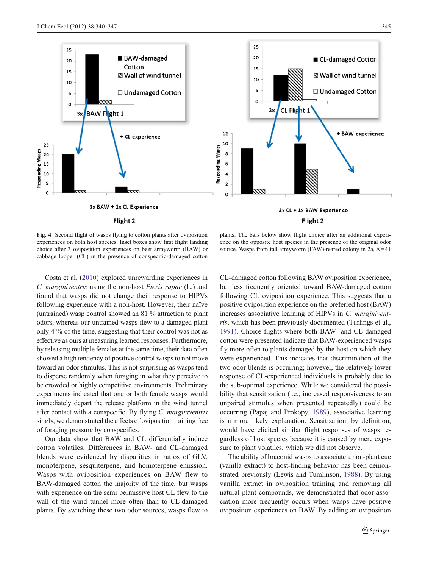<span id="page-5-0"></span>

## 25 20 ■ CL-damaged Cotton  $15$ S Wall of wind tunnel 10 5 □ Undamaged Cotton  $\Omega$ CL Flight 1 3x + BAW experience  $12$ 10 8 6  $\ddot{4}$  $\overline{2}$  $\Omega$ 3x CL + 1x BAW Experience

#### Flight 2

plants. The bars below show flight choice after an additional experience on the opposite host species in the presence of the original odor source. Wasps from fall armyworm (FAW)-reared colony in 2a,  $N=41$ 

Flight 2

Costa et al. [\(2010](#page-6-0)) explored unrewarding experiences in cabbage looper (CL) in the presence of conspecific-damaged cotton

Fig. 4 Second flight of wasps flying to cotton plants after oviposition experiences on both host species. Inset boxes show first flight landing choice after 3 oviposition experiences on beet armyworm (BAW) or

C. marginiventris using the non-host Pieris rapae (L.) and found that wasps did not change their response to HIPVs following experience with a non-host. However, their naïve (untrained) wasp control showed an 81 % attraction to plant odors, whereas our untrained wasps flew to a damaged plant only 4 % of the time, suggesting that their control was not as effective as ours at measuring learned responses. Furthermore, by releasing multiple females at the same time, their data often showed a high tendency of positive control wasps to not move toward an odor stimulus. This is not surprising as wasps tend to disperse randomly when foraging in what they perceive to be crowded or highly competitive environments. Preliminary experiments indicated that one or both female wasps would immediately depart the release platform in the wind tunnel after contact with a conspecific. By flying C. marginiventris singly, we demonstrated the effects of oviposition training free of foraging pressure by conspecifics.

Our data show that BAW and CL differentially induce cotton volatiles. Differences in BAW- and CL-damaged blends were evidenced by disparities in ratios of GLV, monoterpene, sesquiterpene, and homoterpene emission. Wasps with oviposition experiences on BAW flew to BAW-damaged cotton the majority of the time, but wasps with experience on the semi-permissive host CL flew to the wall of the wind tunnel more often than to CL-damaged plants. By switching these two odor sources, wasps flew to CL-damaged cotton following BAW oviposition experience, but less frequently oriented toward BAW-damaged cotton following CL oviposition experience. This suggests that a positive oviposition experience on the preferred host (BAW) increases associative learning of HIPVs in C. marginiventris, which has been previously documented (Turlings et al., [1991](#page-7-0)). Choice flights where both BAW- and CL-damaged cotton were presented indicate that BAW-experienced wasps fly more often to plants damaged by the host on which they were experienced. This indicates that discrimination of the two odor blends is occurring; however, the relatively lower response of CL-experienced individuals is probably due to the sub-optimal experience. While we considered the possibility that sensitization (i.e., increased responsiveness to an unpaired stimulus when presented repeatedly) could be occurring (Papaj and Prokopy, [1989\)](#page-6-0), associative learning is a more likely explanation. Sensitization, by definition, would have elicited similar flight responses of wasps regardless of host species because it is caused by mere exposure to plant volatiles, which we did not observe.

The ability of braconid wasps to associate a non-plant cue (vanilla extract) to host-finding behavior has been demonstrated previously (Lewis and Tumlinson, [1988](#page-6-0)). By using vanilla extract in oviposition training and removing all natural plant compounds, we demonstrated that odor association more frequently occurs when wasps have positive oviposition experiences on BAW. By adding an oviposition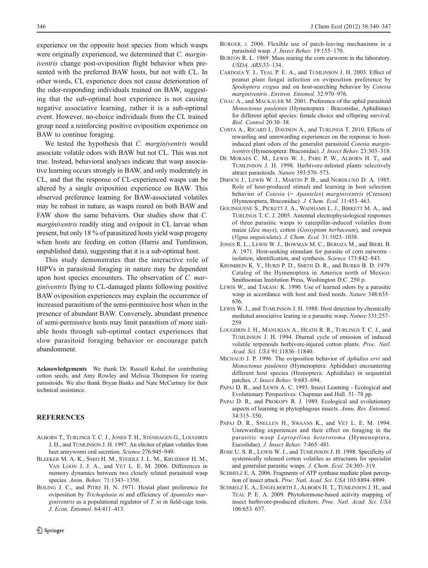<span id="page-6-0"></span>experience on the opposite host species from which wasps were originally experienced, we determined that C. marginiventris change post-oviposition flight behavior when presented with the preferred BAW hosts, but not with CL. In other words, CL experience does not cause deterioration of the odor-responding individuals trained on BAW, suggesting that the sub-optimal host experience is not causing negative associative learning, rather it is a sub-optimal event. However, no-choice individuals from the CL trained group need a reinforcing positive oviposition experience on BAW to continue foraging.

We tested the hypothesis that C. *marginiventris* would associate volatile odors with BAW but not CL. This was not true. Instead, behavioral analyses indicate that wasp associative learning occurs strongly in BAW, and only moderately in CL, and that the response of CL-experienced wasps can be altered by a single oviposition experience on BAW. This observed preference learning for BAW-associated volatiles may be robust in nature, as wasps reared on both BAW and FAW show the same behaviors. Our studies show that C. marginiventris readily sting and oviposit in CL larvae when present, but only 18 % of parasitized hosts yield wasp progeny when hosts are feeding on cotton (Harris and Tumlinson, unpublished data), suggesting that it is a sub-optimal host.

This study demonstrates that the interactive role of HIPVs in parasitoid foraging in nature may be dependent upon host species encounters. The observation of C. marginiventris flying to CL-damaged plants following positive BAW oviposition experiences may explain the occurrence of increased parasitism of the semi-permissive host when in the presence of abundant BAW. Conversely, abundant presence of semi-permissive hosts may limit parasitism of more suitable hosts through sub-optimal contact experiences that slow parasitoid foraging behavior or encourage patch abandonment.

Acknowledgements We thank Dr. Russell Kohel for contributing cotton seeds, and Amy Rowley and Melissa Thompson for rearing parasitoids. We also thank Bryan Banks and Nate McCartney for their technical assistance.

#### REFERENCES

- ALBORN T., TURLINGS T. C. J., JONES T. H., STENHAGEN G., LOUGHRIN J. H., and TUMLINSON J. H. 1997. An elicitor of plant volatiles from beet armyworm oral secretion. Science 276:945–949.
- BLEEKER M. A. K., SMID H. M., STEIDLE J. L. M., KRUIDHOF H. M., VAN LOON J. J. A., and VET L. E. M. 2006. Differences in memory dynamics between two closely related parasitoid wasp species. Anim. Behav. 71:1343–1350.
- BOLING J. C., and PITRE H. N. 1971. Hostal plant preference for oviposition by Trichoplusia ni and efficiency of Apanteles marginiventris as a populational regulator of  $T$ .  $ni$  in field-cage tests. J. Econ. Entomol. 64:411–413.
- BURGER, J. 2006. Flexible use of patch-leaving mechanisms in a parasitoid wasp. J. Insect Behav. 19:155–170.
- BURTON R. L. 1969. Mass rearing the corn earworm in the laboratory. USDA, ARS:33–134.
- CARDOZA Y. J., TEAL P. E. A., and TUMLINSON J. H. 2003. Effect of peanut plant fungal infection on oviposition preference by Spodoptera exigua and on host-searching behavior by Cotesia marginiventris. Environ. Entomol. 32:970–976.
- CHAU A., and MACKAUER M. 2001. Preference of the aphid parasitoid Monoctonus paulensis (Hymenoptera : Braconidae, Aphidiinae) for different aphid species: female choice and offspring survival. Biol. Control 20:30–38.
- COSTA A., RICARD I., DAVISON A., and TURLINGS T. 2010. Effects of rewarding and unrewarding experiences on the response to hostinduced plant odors of the generalist parasitoid Cotesia marginiventris (Hymenoptera: Braconidae). J. Insect Behav. 23:303–318.
- DE MORAES C. M., LEWIS W. J., PARE P. W., ALBORN H. T., and TUMLINSON J. H. 1998. Herbivore-infested plants selectively attract parasitoids. Nature 393:570–573.
- DMOCH J., LEWIS W. J., MARTIN P. B., and NORDLUND D. A. 1985. Role of host-produced stimuli and learning in host selection behavior of Cotesia  $(=$  Apanteles) marginiventris (Cresson) (Hymenoptera, Braconidae). J. Chem. Ecol. 11:453–463.
- GOUINGUENE S., PICKETT J. A., WADHAMS L. J., BIRKETT M. A., and TURLINGS T. C. J. 2005. Antennal electrophysiological responses of three parasitic wasps to caterpillar-induced volatiles from maize (Zea mays), cotton (Gossypium herbaceum), and cowpea (Vigna unguiculata). J. Chem. Ecol. 31:1023–1038.
- JONES R. L., LEWIS W. J., BOWMAN M. C., BEROZA M., and BIERL B. A. 1971. Host-seeking stimulant for parasite of corn earworm isolation, identification, and synthesis. Science 173:842–843.
- KROMBEIN K. V., HURD P. D., SMITH D. R., and BURKS B. D. 1979. Catalog of the Hymenoptera in America north of Mexico: Smithsonian Institution Press, Washington D.C. 250 p.
- LEWIS W., and TAKASU K. 1990. Use of learned odors by a parasitic wasp in accordance with host and food needs. Nature 348:635– 636.
- LEWIS W. J., and TUMLINSON J. H. 1988. Host detection by chemically mediated associative learing in a parasitic wasp. Nature 331:257– 259.
- LOUGHRIN J. H., MANUKIAN A., HEATH R. R., TURLINGS T. C. J., and TUMLINSON J. H. 1994. Diurnal cycle of emission of induced volatile terpenoids herbivore-injured cotton plants. Proc. Natl. Acad. Sci. USA 91:11836–11840.
- MICHAUD J. P. 1996. The oviposition behavior of Aphidius ervi and Monoctonus paulensis (Hymenoptera: Aphididae) encountering different host species (Homoptera: Aphididae) in sequential patches. J. Insect Behav. 9:683–694.
- PAPAJ D. R., and LEWIS A. C. 1993. Insect Learning Ecological and Evolutionary Perspectives: Chapman and Hall. 51–78 pp.
- PAPAJ D. R., and PROKOPY R. J. 1989. Ecological and evolutionary aspects of learning in phytophagous insects. Annu. Rev. Entomol. 34:315–350.
- PAPAJ D. R., SNELLEN H., SWAANS K., and VET L. E. M. 1994. Unrewarding experiences and their effect on foraging in the parasitic wasp Leptopilina heterotoma (Hymenoptera, Eucoilidae). J. Insect Behav. 7:465–481.
- ROSE U. S. R., LEWIS W. J., and TUMLINSON J. H. 1998. Specificity of systemically released cotton volatiles as attractants for specialist and generalist parasitic wasps. J. Chem. Ecol. 24:303–319.
- SCHMELZ E. A. 2006. Fragments of ATP synthase mediate plant perception of insect attack. Proc. Natl. Acad. Sci. USA 103:8894–8899.
- SCHMELZ E. A., ENGELBERTH J., ALBORN H. T., TUMLINSON J. H., and TEAL P. E. A. 2009. Phytohormone-based activity mapping of insect herbivore-produced elicitors. Proc. Natl. Acad. Sci. USA 106:653–657.